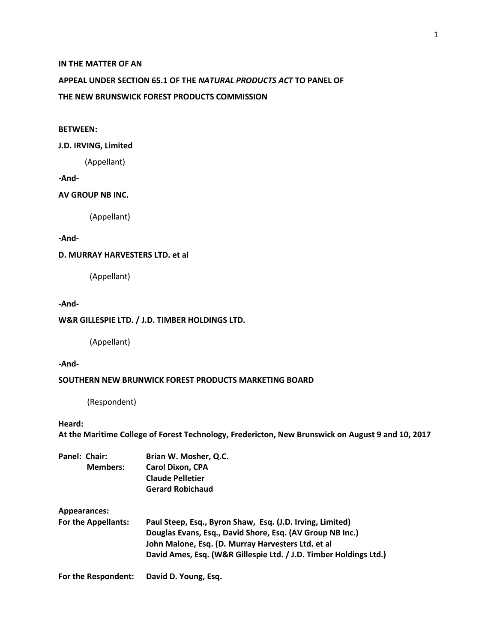### **IN THE MATTER OF AN**

# **APPEAL UNDER SECTION 65.1 OF THE** *NATURAL PRODUCTS ACT* **TO PANEL OF**

#### **THE NEW BRUNSWICK FOREST PRODUCTS COMMISSION**

### **BETWEEN:**

#### **J.D. IRVING, Limited**

(Appellant)

**-And-**

#### **AV GROUP NB INC.**

(Appellant)

### **-And-**

# **D. MURRAY HARVESTERS LTD. et al**

(Appellant)

### **-And-**

### **W&R GILLESPIE LTD. / J.D. TIMBER HOLDINGS LTD.**

(Appellant)

**-And-**

### **SOUTHERN NEW BRUNWICK FOREST PRODUCTS MARKETING BOARD**

(Respondent)

### **Heard:**

**At the Maritime College of Forest Technology, Fredericton, New Brunswick on August 9 and 10, 2017**

| Panel: Chair:<br><b>Members:</b> | Brian W. Mosher, Q.C.                                             |
|----------------------------------|-------------------------------------------------------------------|
|                                  | <b>Carol Dixon, CPA</b>                                           |
|                                  | <b>Claude Pelletier</b>                                           |
|                                  | <b>Gerard Robichaud</b>                                           |
| <b>Appearances:</b>              |                                                                   |
| <b>For the Appellants:</b>       | Paul Steep, Esq., Byron Shaw, Esq. (J.D. Irving, Limited)         |
|                                  | Douglas Evans, Esq., David Shore, Esq. (AV Group NB Inc.)         |
|                                  | John Malone, Esq. (D. Murray Harvesters Ltd. et al                |
|                                  | David Ames, Esq. (W&R Gillespie Ltd. / J.D. Timber Holdings Ltd.) |
| For the Respondent:              | David D. Young, Esq.                                              |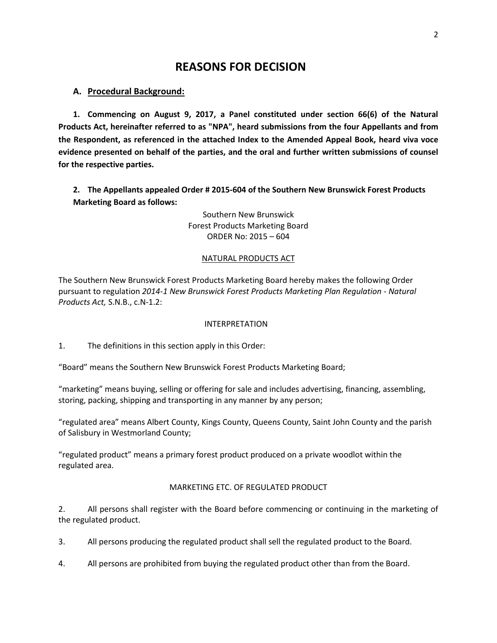# **REASONS FOR DECISION**

# **A. Procedural Background:**

**1. Commencing on August 9, 2017, a Panel constituted under section 66(6) of the Natural Products Act, hereinafter referred to as "NPA", heard submissions from the four Appellants and from the Respondent, as referenced in the attached Index to the Amended Appeal Book, heard viva voce evidence presented on behalf of the parties, and the oral and further written submissions of counsel for the respective parties.**

**2. The Appellants appealed Order # 2015-604 of the Southern New Brunswick Forest Products Marketing Board as follows:** 

> Southern New Brunswick Forest Products Marketing Board ORDER No: 2015 – 604

# NATURAL PRODUCTS ACT

The Southern New Brunswick Forest Products Marketing Board hereby makes the following Order pursuant to regulation *2014-1 New Brunswick Forest Products Marketing Plan Regulation - Natural Products Act,* S.N.B., c.N-1.2:

# INTERPRETATION

1. The definitions in this section apply in this Order:

"Board" means the Southern New Brunswick Forest Products Marketing Board;

"marketing" means buying, selling or offering for sale and includes advertising, financing, assembling, storing, packing, shipping and transporting in any manner by any person;

"regulated area" means Albert County, Kings County, Queens County, Saint John County and the parish of Salisbury in Westmorland County;

"regulated product" means a primary forest product produced on a private woodlot within the regulated area.

# MARKETING ETC. OF REGULATED PRODUCT

2. All persons shall register with the Board before commencing or continuing in the marketing of the regulated product.

3. All persons producing the regulated product shall sell the regulated product to the Board.

4. All persons are prohibited from buying the regulated product other than from the Board.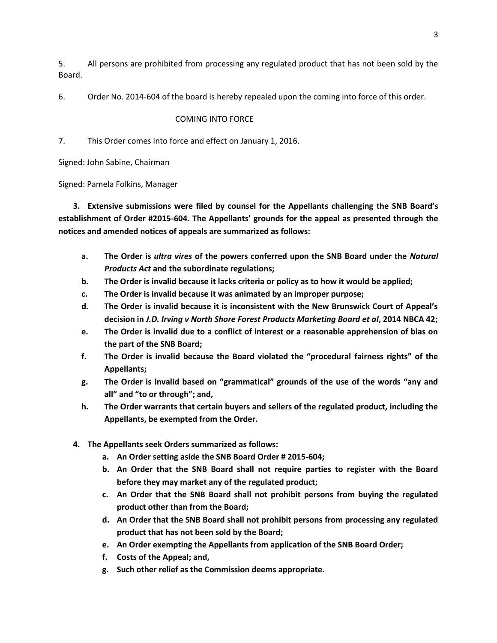5. All persons are prohibited from processing any regulated product that has not been sold by the Board.

6. Order No. 2014-604 of the board is hereby repealed upon the coming into force of this order.

# COMING INTO FORCE

7. This Order comes into force and effect on January 1, 2016.

Signed: John Sabine, Chairman

Signed: Pamela Folkins, Manager

**3. Extensive submissions were filed by counsel for the Appellants challenging the SNB Board's establishment of Order #2015-604. The Appellants' grounds for the appeal as presented through the notices and amended notices of appeals are summarized as follows:**

- **a. The Order is** *ultra vires* **of the powers conferred upon the SNB Board under the** *Natural Products Act* **and the subordinate regulations;**
- **b. The Order is invalid because it lacks criteria or policy as to how it would be applied;**
- **c. The Order is invalid because it was animated by an improper purpose;**
- **d. The Order is invalid because it is inconsistent with the New Brunswick Court of Appeal's decision in** *J.D. Irving v North Shore Forest Products Marketing Board et al***, 2014 NBCA 42;**
- **e. The Order is invalid due to a conflict of interest or a reasonable apprehension of bias on the part of the SNB Board;**
- **f. The Order is invalid because the Board violated the "procedural fairness rights" of the Appellants;**
- **g. The Order is invalid based on "grammatical" grounds of the use of the words "any and all" and "to or through"; and,**
- **h. The Order warrants that certain buyers and sellers of the regulated product, including the Appellants, be exempted from the Order.**
- **4. The Appellants seek Orders summarized as follows:**
	- **a. An Order setting aside the SNB Board Order # 2015-604;**
	- **b. An Order that the SNB Board shall not require parties to register with the Board before they may market any of the regulated product;**
	- **c. An Order that the SNB Board shall not prohibit persons from buying the regulated product other than from the Board;**
	- **d. An Order that the SNB Board shall not prohibit persons from processing any regulated product that has not been sold by the Board;**
	- **e. An Order exempting the Appellants from application of the SNB Board Order;**
	- **f. Costs of the Appeal; and,**
	- **g. Such other relief as the Commission deems appropriate.**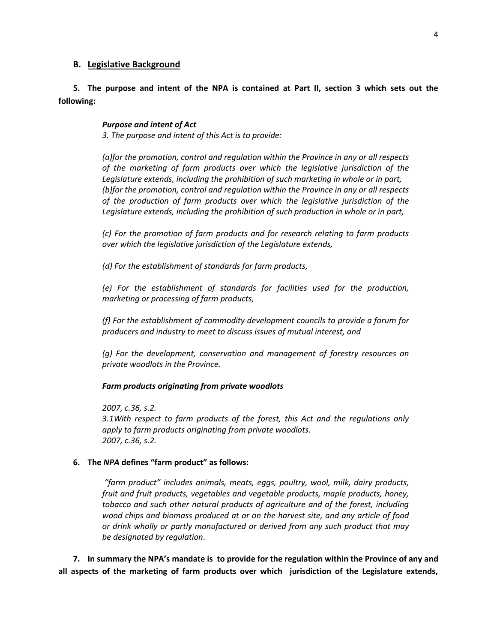### **B. Legislative Background**

# **5. The purpose and intent of the NPA is contained at Part II, section 3 which sets out the following:**

### *Purpose and intent of Act*

*3. The purpose and intent of this Act is to provide:*

*(a)for the promotion, control and regulation within the Province in any or all respects of the marketing of farm products over which the legislative jurisdiction of the Legislature extends, including the prohibition of such marketing in whole or in part, (b)for the promotion, control and regulation within the Province in any or all respects of the production of farm products over which the legislative jurisdiction of the Legislature extends, including the prohibition of such production in whole or in part,*

*(c) For the promotion of farm products and for research relating to farm products over which the legislative jurisdiction of the Legislature extends,*

*(d) For the establishment of standards for farm products,*

*(e) For the establishment of standards for facilities used for the production, marketing or processing of farm products,*

*(f) For the establishment of commodity development councils to provide a forum for producers and industry to meet to discuss issues of mutual interest, and*

*(g) For the development, conservation and management of forestry resources on private woodlots in the Province.*

*Farm products originating from private woodlots*

*2007, c.36, s.2.*

*3.1With respect to farm products of the forest, this Act and the regulations only apply to farm products originating from private woodlots. 2007, c.36, s.2.*

#### **6. The** *NPA* **defines "farm product" as follows:**

*"farm product" includes animals, meats, eggs, poultry, wool, milk, dairy products, fruit and fruit products, vegetables and vegetable products, maple products, honey, tobacco and such other natural products of agriculture and of the forest, including wood chips and biomass produced at or on the harvest site, and any article of food or drink wholly or partly manufactured or derived from any such product that may be designated by regulation*.

**7. In summary the NPA's mandate is to provide for the regulation within the Province of any and all aspects of the marketing of farm products over which jurisdiction of the Legislature extends,**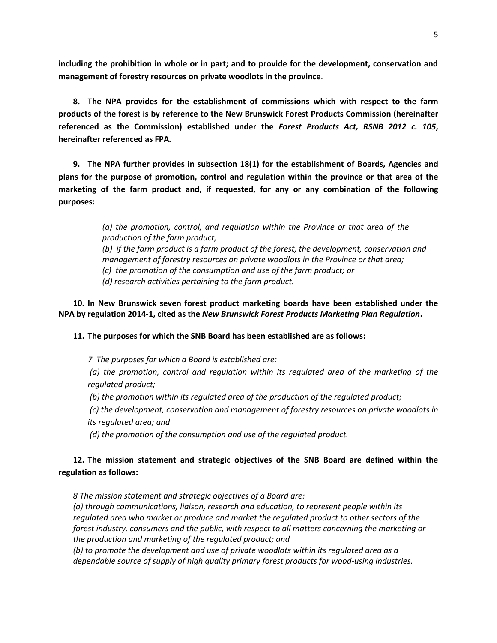**including the prohibition in whole or in part; and to provide for the development, conservation and management of forestry resources on private woodlots in the province**.

**8. The NPA provides for the establishment of commissions which with respect to the farm products of the forest is by reference to the New Brunswick Forest Products Commission (hereinafter referenced as the Commission) established under the** *Forest Products Act, RSNB 2012 c. 105***, hereinafter referenced as FPA***.*

**9. The NPA further provides in subsection 18(1) for the establishment of Boards, Agencies and plans for the purpose of promotion, control and regulation within the province or that area of the marketing of the farm product and, if requested, for any or any combination of the following purposes:**

> *(a) the promotion, control, and regulation within the Province or that area of the production of the farm product; (b) if the farm product is a farm product of the forest, the development, conservation and management of forestry resources on private woodlots in the Province or that area; (c) the promotion of the consumption and use of the farm product; or (d) research activities pertaining to the farm product.*

**10. In New Brunswick seven forest product marketing boards have been established under the NPA by regulation 2014-1, cited as the** *New Brunswick Forest Products Marketing Plan Regulation***.**

**11. The purposes for which the SNB Board has been established are as follows:**

*7 The purposes for which a Board is established are:*

*(a) the promotion, control and regulation within its regulated area of the marketing of the regulated product;*

*(b) the promotion within its regulated area of the production of the regulated product;*

*(c) the development, conservation and management of forestry resources on private woodlots in its regulated area; and*

*(d) the promotion of the consumption and use of the regulated product.*

# **12. The mission statement and strategic objectives of the SNB Board are defined within the regulation as follows:**

*8 The mission statement and strategic objectives of a Board are:*

*(a) through communications, liaison, research and education, to represent people within its regulated area who market or produce and market the regulated product to other sectors of the forest industry, consumers and the public, with respect to all matters concerning the marketing or the production and marketing of the regulated product; and*

*(b) to promote the development and use of private woodlots within its regulated area as a dependable source of supply of high quality primary forest products for wood-using industries.*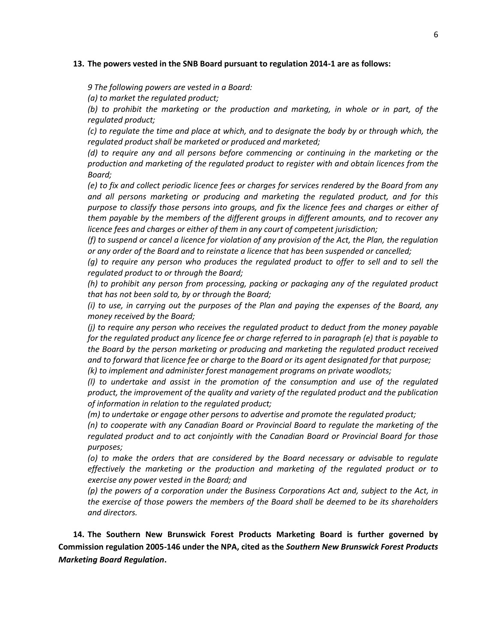#### **13. The powers vested in the SNB Board pursuant to regulation 2014-1 are as follows:**

*9 The following powers are vested in a Board:*

*(a) to market the regulated product;*

*(b) to prohibit the marketing or the production and marketing, in whole or in part, of the regulated product;*

*(c) to regulate the time and place at which, and to designate the body by or through which, the regulated product shall be marketed or produced and marketed;*

*(d) to require any and all persons before commencing or continuing in the marketing or the production and marketing of the regulated product to register with and obtain licences from the Board;*

*(e) to fix and collect periodic licence fees or charges for services rendered by the Board from any and all persons marketing or producing and marketing the regulated product, and for this purpose to classify those persons into groups, and fix the licence fees and charges or either of them payable by the members of the different groups in different amounts, and to recover any licence fees and charges or either of them in any court of competent jurisdiction;*

*(f) to suspend or cancel a licence for violation of any provision of the Act, the Plan, the regulation or any order of the Board and to reinstate a licence that has been suspended or cancelled;*

*(g) to require any person who produces the regulated product to offer to sell and to sell the regulated product to or through the Board;*

*(h) to prohibit any person from processing, packing or packaging any of the regulated product that has not been sold to, by or through the Board;*

*(i) to use, in carrying out the purposes of the Plan and paying the expenses of the Board, any money received by the Board;*

*(j) to require any person who receives the regulated product to deduct from the money payable for the regulated product any licence fee or charge referred to in paragraph (e) that is payable to the Board by the person marketing or producing and marketing the regulated product received and to forward that licence fee or charge to the Board or its agent designated for that purpose;*

*(k) to implement and administer forest management programs on private woodlots;*

*(l) to undertake and assist in the promotion of the consumption and use of the regulated product, the improvement of the quality and variety of the regulated product and the publication of information in relation to the regulated product;*

*(m) to undertake or engage other persons to advertise and promote the regulated product;*

*(n) to cooperate with any Canadian Board or Provincial Board to regulate the marketing of the regulated product and to act conjointly with the Canadian Board or Provincial Board for those purposes;*

*(o) to make the orders that are considered by the Board necessary or advisable to regulate effectively the marketing or the production and marketing of the regulated product or to exercise any power vested in the Board; and*

*(p) the powers of a corporation under the Business Corporations Act and, subject to the Act, in the exercise of those powers the members of the Board shall be deemed to be its shareholders and directors.*

**14. The Southern New Brunswick Forest Products Marketing Board is further governed by Commission regulation 2005-146 under the NPA, cited as the** *Southern New Brunswick Forest Products Marketing Board Regulation***.**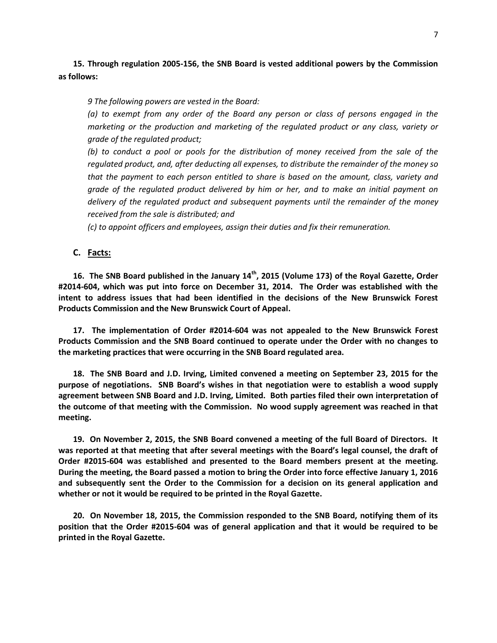**15. Through regulation 2005-156, the SNB Board is vested additional powers by the Commission as follows:**

*9 The following powers are vested in the Board:*

*(a) to exempt from any order of the Board any person or class of persons engaged in the marketing or the production and marketing of the regulated product or any class, variety or grade of the regulated product;*

*(b) to conduct a pool or pools for the distribution of money received from the sale of the regulated product, and, after deducting all expenses, to distribute the remainder of the money so that the payment to each person entitled to share is based on the amount, class, variety and grade of the regulated product delivered by him or her, and to make an initial payment on delivery of the regulated product and subsequent payments until the remainder of the money received from the sale is distributed; and*

*(c) to appoint officers and employees, assign their duties and fix their remuneration.*

### **C. Facts:**

**16. The SNB Board published in the January 14th, 2015 (Volume 173) of the Royal Gazette, Order #2014-604, which was put into force on December 31, 2014. The Order was established with the intent to address issues that had been identified in the decisions of the New Brunswick Forest Products Commission and the New Brunswick Court of Appeal.**

**17. The implementation of Order #2014-604 was not appealed to the New Brunswick Forest Products Commission and the SNB Board continued to operate under the Order with no changes to the marketing practices that were occurring in the SNB Board regulated area.**

**18. The SNB Board and J.D. Irving, Limited convened a meeting on September 23, 2015 for the purpose of negotiations. SNB Board's wishes in that negotiation were to establish a wood supply agreement between SNB Board and J.D. Irving, Limited. Both parties filed their own interpretation of the outcome of that meeting with the Commission. No wood supply agreement was reached in that meeting.**

**19. On November 2, 2015, the SNB Board convened a meeting of the full Board of Directors. It was reported at that meeting that after several meetings with the Board's legal counsel, the draft of Order #2015-604 was established and presented to the Board members present at the meeting. During the meeting, the Board passed a motion to bring the Order into force effective January 1, 2016 and subsequently sent the Order to the Commission for a decision on its general application and whether or not it would be required to be printed in the Royal Gazette.**

**20. On November 18, 2015, the Commission responded to the SNB Board, notifying them of its position that the Order #2015-604 was of general application and that it would be required to be printed in the Royal Gazette.**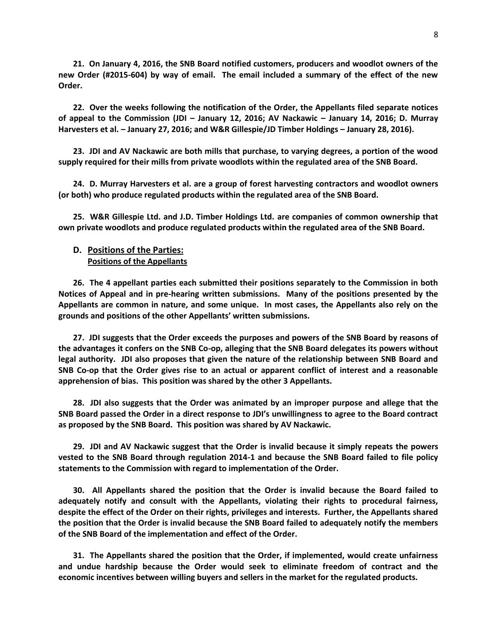**21. On January 4, 2016, the SNB Board notified customers, producers and woodlot owners of the new Order (#2015-604) by way of email. The email included a summary of the effect of the new Order.**

**22. Over the weeks following the notification of the Order, the Appellants filed separate notices of appeal to the Commission (JDI – January 12, 2016; AV Nackawic – January 14, 2016; D. Murray Harvesters et al. – January 27, 2016; and W&R Gillespie/JD Timber Holdings – January 28, 2016).**

**23. JDI and AV Nackawic are both mills that purchase, to varying degrees, a portion of the wood supply required for their mills from private woodlots within the regulated area of the SNB Board.**

**24. D. Murray Harvesters et al. are a group of forest harvesting contractors and woodlot owners (or both) who produce regulated products within the regulated area of the SNB Board.**

**25. W&R Gillespie Ltd. and J.D. Timber Holdings Ltd. are companies of common ownership that own private woodlots and produce regulated products within the regulated area of the SNB Board.**

### **D. Positions of the Parties: Positions of the Appellants**

**26. The 4 appellant parties each submitted their positions separately to the Commission in both Notices of Appeal and in pre-hearing written submissions. Many of the positions presented by the Appellants are common in nature, and some unique. In most cases, the Appellants also rely on the grounds and positions of the other Appellants' written submissions.**

**27. JDI suggests that the Order exceeds the purposes and powers of the SNB Board by reasons of the advantages it confers on the SNB Co-op, alleging that the SNB Board delegates its powers without legal authority. JDI also proposes that given the nature of the relationship between SNB Board and SNB Co-op that the Order gives rise to an actual or apparent conflict of interest and a reasonable apprehension of bias. This position was shared by the other 3 Appellants.**

**28. JDI also suggests that the Order was animated by an improper purpose and allege that the SNB Board passed the Order in a direct response to JDI's unwillingness to agree to the Board contract as proposed by the SNB Board. This position was shared by AV Nackawic.**

**29. JDI and AV Nackawic suggest that the Order is invalid because it simply repeats the powers vested to the SNB Board through regulation 2014-1 and because the SNB Board failed to file policy statements to the Commission with regard to implementation of the Order.**

**30. All Appellants shared the position that the Order is invalid because the Board failed to adequately notify and consult with the Appellants, violating their rights to procedural fairness, despite the effect of the Order on their rights, privileges and interests. Further, the Appellants shared the position that the Order is invalid because the SNB Board failed to adequately notify the members of the SNB Board of the implementation and effect of the Order.**

**31. The Appellants shared the position that the Order, if implemented, would create unfairness and undue hardship because the Order would seek to eliminate freedom of contract and the economic incentives between willing buyers and sellers in the market for the regulated products.**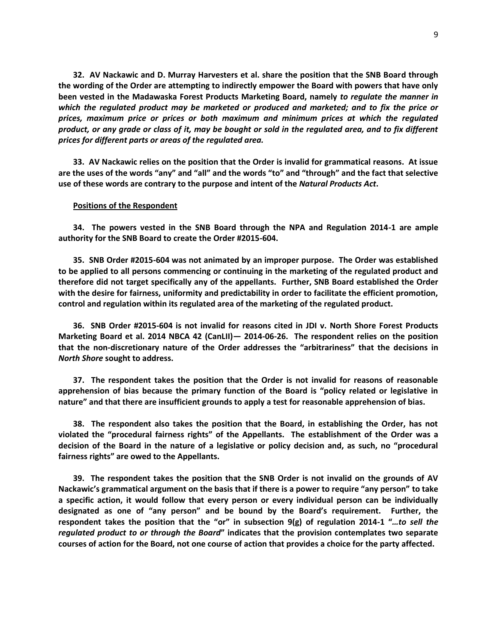**32. AV Nackawic and D. Murray Harvesters et al. share the position that the SNB Board through the wording of the Order are attempting to indirectly empower the Board with powers that have only been vested in the Madawaska Forest Products Marketing Board, namely** *to regulate the manner in which the regulated product may be marketed or produced and marketed; and to fix the price or prices, maximum price or prices or both maximum and minimum prices at which the regulated product, or any grade or class of it, may be bought or sold in the regulated area, and to fix different prices for different parts or areas of the regulated area.*

**33. AV Nackawic relies on the position that the Order is invalid for grammatical reasons. At issue are the uses of the words "any" and "all" and the words "to" and "through" and the fact that selective use of these words are contrary to the purpose and intent of the** *Natural Products Act***.**

#### **Positions of the Respondent**

**34. The powers vested in the SNB Board through the NPA and Regulation 2014-1 are ample authority for the SNB Board to create the Order #2015-604.**

**35. SNB Order #2015-604 was not animated by an improper purpose. The Order was established to be applied to all persons commencing or continuing in the marketing of the regulated product and therefore did not target specifically any of the appellants. Further, SNB Board established the Order with the desire for fairness, uniformity and predictability in order to facilitate the efficient promotion, control and regulation within its regulated area of the marketing of the regulated product.**

**36. SNB Order #2015-604 is not invalid for reasons cited in JDI v. North Shore Forest Products Marketing Board et al. 2014 NBCA 42 (CanLII)— 2014-06-26. The respondent relies on the position that the non-discretionary nature of the Order addresses the "arbitrariness" that the decisions in**  *North Shore* **sought to address.**

**37. The respondent takes the position that the Order is not invalid for reasons of reasonable apprehension of bias because the primary function of the Board is "policy related or legislative in nature" and that there are insufficient grounds to apply a test for reasonable apprehension of bias.**

**38. The respondent also takes the position that the Board, in establishing the Order, has not violated the "procedural fairness rights" of the Appellants. The establishment of the Order was a decision of the Board in the nature of a legislative or policy decision and, as such, no "procedural fairness rights" are owed to the Appellants.**

**39. The respondent takes the position that the SNB Order is not invalid on the grounds of AV Nackawic's grammatical argument on the basis that if there is a power to require "any person" to take a specific action, it would follow that every person or every individual person can be individually designated as one of "any person" and be bound by the Board's requirement. Further, the respondent takes the position that the "or" in subsection 9(g) of regulation 2014-1 "***…to sell the regulated product to or through the Board***" indicates that the provision contemplates two separate courses of action for the Board, not one course of action that provides a choice for the party affected.**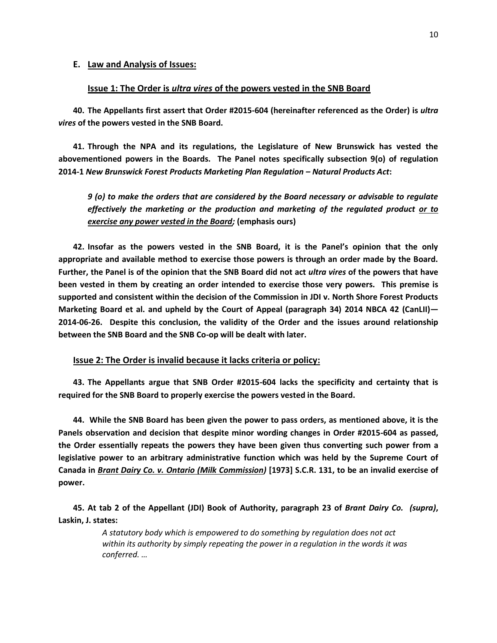### **E. Law and Analysis of Issues:**

# **Issue 1: The Order is** *ultra vires* **of the powers vested in the SNB Board**

**40. The Appellants first assert that Order #2015-604 (hereinafter referenced as the Order) is** *ultra vires* **of the powers vested in the SNB Board.**

**41. Through the NPA and its regulations, the Legislature of New Brunswick has vested the abovementioned powers in the Boards. The Panel notes specifically subsection 9(o) of regulation 2014-1** *New Brunswick Forest Products Marketing Plan Regulation – Natural Products Act***:**

*9 (o) to make the orders that are considered by the Board necessary or advisable to regulate effectively the marketing or the production and marketing of the regulated product or to exercise any power vested in the Board;* **(emphasis ours)**

**42. Insofar as the powers vested in the SNB Board, it is the Panel's opinion that the only appropriate and available method to exercise those powers is through an order made by the Board. Further, the Panel is of the opinion that the SNB Board did not act** *ultra vires* **of the powers that have been vested in them by creating an order intended to exercise those very powers. This premise is supported and consistent within the decision of the Commission in JDI v. North Shore Forest Products Marketing Board et al. and upheld by the Court of Appeal (paragraph 34) 2014 NBCA 42 (CanLII)— 2014-06-26. Despite this conclusion, the validity of the Order and the issues around relationship between the SNB Board and the SNB Co-op will be dealt with later.**

**Issue 2: The Order is invalid because it lacks criteria or policy:**

**43. The Appellants argue that SNB Order #2015-604 lacks the specificity and certainty that is required for the SNB Board to properly exercise the powers vested in the Board.**

**44. While the SNB Board has been given the power to pass orders, as mentioned above, it is the Panels observation and decision that despite minor wording changes in Order #2015-604 as passed, the Order essentially repeats the powers they have been given thus converting such power from a legislative power to an arbitrary administrative function which was held by the Supreme Court of Canada in** *Brant Dairy Co. v. Ontario (Milk Commission)* **[1973] S.C.R. 131, to be an invalid exercise of power.** 

**45. At tab 2 of the Appellant (JDI) Book of Authority, paragraph 23 of** *Brant Dairy Co. (supra)***, Laskin, J. states:**

> *A statutory body which is empowered to do something by regulation does not act within its authority by simply repeating the power in a regulation in the words it was conferred. …*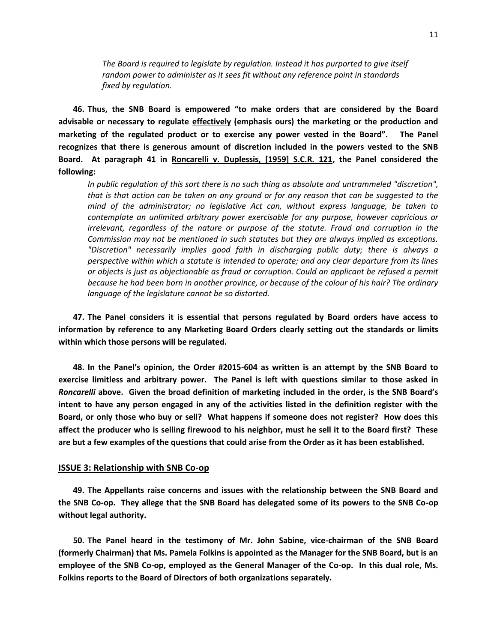*The Board is required to legislate by regulation. Instead it has purported to give itself random power to administer as it sees fit without any reference point in standards fixed by regulation.*

**46. Thus, the SNB Board is empowered "to make orders that are considered by the Board advisable or necessary to regulate effectively (emphasis ours) the marketing or the production and marketing of the regulated product or to exercise any power vested in the Board". The Panel recognizes that there is generous amount of discretion included in the powers vested to the SNB Board. At paragraph 41 in Roncarelli v. Duplessis, [1959] S.C.R. 121, the Panel considered the following:**

*In public regulation of this sort there is no such thing as absolute and untrammeled "discretion", that is that action can be taken on any ground or for any reason that can be suggested to the mind of the administrator; no legislative Act can, without express language, be taken to contemplate an unlimited arbitrary power exercisable for any purpose, however capricious or irrelevant, regardless of the nature or purpose of the statute. Fraud and corruption in the Commission may not be mentioned in such statutes but they are always implied as exceptions. "Discretion" necessarily implies good faith in discharging public duty; there is always a perspective within which a statute is intended to operate; and any clear departure from its lines or objects is just as objectionable as fraud or corruption. Could an applicant be refused a permit because he had been born in another province, or because of the colour of his hair? The ordinary language of the legislature cannot be so distorted.*

**47. The Panel considers it is essential that persons regulated by Board orders have access to information by reference to any Marketing Board Orders clearly setting out the standards or limits within which those persons will be regulated.**

**48. In the Panel's opinion, the Order #2015-604 as written is an attempt by the SNB Board to exercise limitless and arbitrary power. The Panel is left with questions similar to those asked in**  *Roncarelli* **above. Given the broad definition of marketing included in the order, is the SNB Board's intent to have any person engaged in any of the activities listed in the definition register with the Board, or only those who buy or sell? What happens if someone does not register? How does this affect the producer who is selling firewood to his neighbor, must he sell it to the Board first? These are but a few examples of the questions that could arise from the Order as it has been established.**

### **ISSUE 3: Relationship with SNB Co-op**

**49. The Appellants raise concerns and issues with the relationship between the SNB Board and the SNB Co-op. They allege that the SNB Board has delegated some of its powers to the SNB Co-op without legal authority.**

**50. The Panel heard in the testimony of Mr. John Sabine, vice-chairman of the SNB Board (formerly Chairman) that Ms. Pamela Folkins is appointed as the Manager for the SNB Board, but is an employee of the SNB Co-op, employed as the General Manager of the Co-op. In this dual role, Ms. Folkins reports to the Board of Directors of both organizations separately.**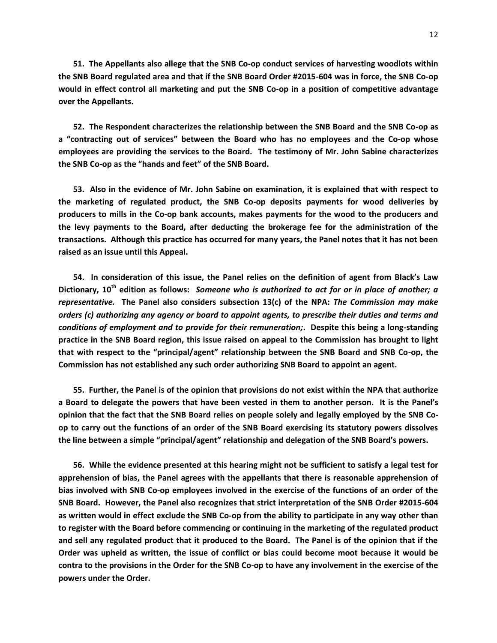**51. The Appellants also allege that the SNB Co-op conduct services of harvesting woodlots within the SNB Board regulated area and that if the SNB Board Order #2015-604 was in force, the SNB Co-op would in effect control all marketing and put the SNB Co-op in a position of competitive advantage over the Appellants.**

**52. The Respondent characterizes the relationship between the SNB Board and the SNB Co-op as a "contracting out of services" between the Board who has no employees and the Co-op whose employees are providing the services to the Board. The testimony of Mr. John Sabine characterizes the SNB Co-op as the "hands and feet" of the SNB Board.**

**53. Also in the evidence of Mr. John Sabine on examination, it is explained that with respect to the marketing of regulated product, the SNB Co-op deposits payments for wood deliveries by producers to mills in the Co-op bank accounts, makes payments for the wood to the producers and the levy payments to the Board, after deducting the brokerage fee for the administration of the transactions. Although this practice has occurred for many years, the Panel notes that it has not been raised as an issue until this Appeal.**

**54. In consideration of this issue, the Panel relies on the definition of agent from Black's Law Dictionary, 10th edition as follows:** *Someone who is authorized to act for or in place of another; a representative.* **The Panel also considers subsection 13(c) of the NPA:** *The Commission may make orders (c) authorizing any agency or board to appoint agents, to prescribe their duties and terms and conditions of employment and to provide for their remuneration;***. Despite this being a long-standing practice in the SNB Board region, this issue raised on appeal to the Commission has brought to light that with respect to the "principal/agent" relationship between the SNB Board and SNB Co-op, the Commission has not established any such order authorizing SNB Board to appoint an agent.**

**55. Further, the Panel is of the opinion that provisions do not exist within the NPA that authorize a Board to delegate the powers that have been vested in them to another person. It is the Panel's opinion that the fact that the SNB Board relies on people solely and legally employed by the SNB Coop to carry out the functions of an order of the SNB Board exercising its statutory powers dissolves the line between a simple "principal/agent" relationship and delegation of the SNB Board's powers.**

**56. While the evidence presented at this hearing might not be sufficient to satisfy a legal test for apprehension of bias, the Panel agrees with the appellants that there is reasonable apprehension of bias involved with SNB Co-op employees involved in the exercise of the functions of an order of the SNB Board. However, the Panel also recognizes that strict interpretation of the SNB Order #2015-604 as written would in effect exclude the SNB Co-op from the ability to participate in any way other than to register with the Board before commencing or continuing in the marketing of the regulated product and sell any regulated product that it produced to the Board. The Panel is of the opinion that if the Order was upheld as written, the issue of conflict or bias could become moot because it would be contra to the provisions in the Order for the SNB Co-op to have any involvement in the exercise of the powers under the Order.**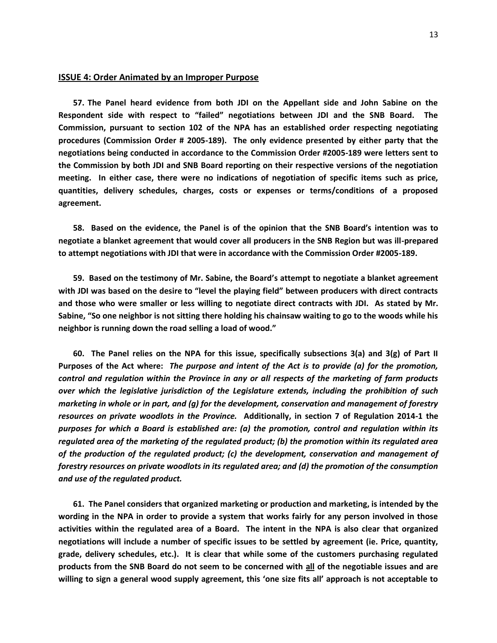#### **ISSUE 4: Order Animated by an Improper Purpose**

**57. The Panel heard evidence from both JDI on the Appellant side and John Sabine on the Respondent side with respect to "failed" negotiations between JDI and the SNB Board. The Commission, pursuant to section 102 of the NPA has an established order respecting negotiating procedures (Commission Order # 2005-189). The only evidence presented by either party that the negotiations being conducted in accordance to the Commission Order #2005-189 were letters sent to the Commission by both JDI and SNB Board reporting on their respective versions of the negotiation meeting. In either case, there were no indications of negotiation of specific items such as price, quantities, delivery schedules, charges, costs or expenses or terms/conditions of a proposed agreement.**

**58. Based on the evidence, the Panel is of the opinion that the SNB Board's intention was to negotiate a blanket agreement that would cover all producers in the SNB Region but was ill-prepared to attempt negotiations with JDI that were in accordance with the Commission Order #2005-189.**

**59. Based on the testimony of Mr. Sabine, the Board's attempt to negotiate a blanket agreement with JDI was based on the desire to "level the playing field" between producers with direct contracts and those who were smaller or less willing to negotiate direct contracts with JDI. As stated by Mr. Sabine, "So one neighbor is not sitting there holding his chainsaw waiting to go to the woods while his neighbor is running down the road selling a load of wood."**

**60. The Panel relies on the NPA for this issue, specifically subsections 3(a) and 3(g) of Part II Purposes of the Act where:** *The purpose and intent of the Act is to provide (a) for the promotion, control and regulation within the Province in any or all respects of the marketing of farm products over which the legislative jurisdiction of the Legislature extends, including the prohibition of such marketing in whole or in part, and (g) for the development, conservation and management of forestry resources on private woodlots in the Province.* **Additionally, in section 7 of Regulation 2014-1 the**  *purposes for which a Board is established are: (a) the promotion, control and regulation within its regulated area of the marketing of the regulated product; (b) the promotion within its regulated area of the production of the regulated product; (c) the development, conservation and management of forestry resources on private woodlots in its regulated area; and (d) the promotion of the consumption and use of the regulated product.*

**61. The Panel considers that organized marketing or production and marketing, is intended by the wording in the NPA in order to provide a system that works fairly for any person involved in those activities within the regulated area of a Board. The intent in the NPA is also clear that organized negotiations will include a number of specific issues to be settled by agreement (ie. Price, quantity, grade, delivery schedules, etc.). It is clear that while some of the customers purchasing regulated products from the SNB Board do not seem to be concerned with all of the negotiable issues and are willing to sign a general wood supply agreement, this 'one size fits all' approach is not acceptable to**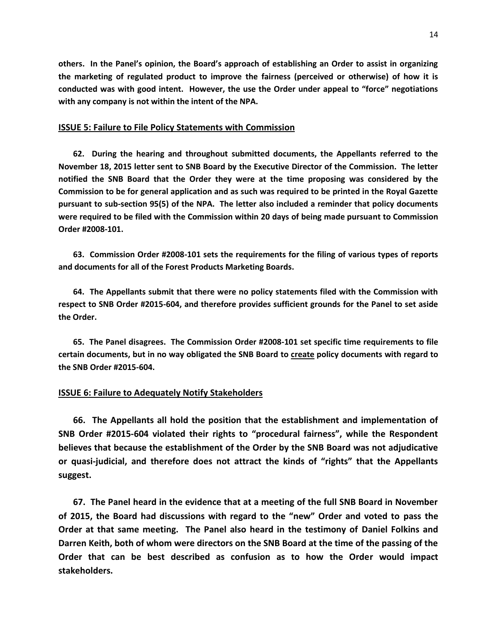**others. In the Panel's opinion, the Board's approach of establishing an Order to assist in organizing the marketing of regulated product to improve the fairness (perceived or otherwise) of how it is conducted was with good intent. However, the use the Order under appeal to "force" negotiations with any company is not within the intent of the NPA.**

### **ISSUE 5: Failure to File Policy Statements with Commission**

**62. During the hearing and throughout submitted documents, the Appellants referred to the November 18, 2015 letter sent to SNB Board by the Executive Director of the Commission. The letter notified the SNB Board that the Order they were at the time proposing was considered by the Commission to be for general application and as such was required to be printed in the Royal Gazette pursuant to sub-section 95(5) of the NPA. The letter also included a reminder that policy documents were required to be filed with the Commission within 20 days of being made pursuant to Commission Order #2008-101.**

**63. Commission Order #2008-101 sets the requirements for the filing of various types of reports and documents for all of the Forest Products Marketing Boards.**

**64. The Appellants submit that there were no policy statements filed with the Commission with respect to SNB Order #2015-604, and therefore provides sufficient grounds for the Panel to set aside the Order.**

**65. The Panel disagrees. The Commission Order #2008-101 set specific time requirements to file certain documents, but in no way obligated the SNB Board to create policy documents with regard to the SNB Order #2015-604.**

# **ISSUE 6: Failure to Adequately Notify Stakeholders**

**66. The Appellants all hold the position that the establishment and implementation of SNB Order #2015-604 violated their rights to "procedural fairness", while the Respondent believes that because the establishment of the Order by the SNB Board was not adjudicative or quasi-judicial, and therefore does not attract the kinds of "rights" that the Appellants suggest.**

**67. The Panel heard in the evidence that at a meeting of the full SNB Board in November of 2015, the Board had discussions with regard to the "new" Order and voted to pass the Order at that same meeting. The Panel also heard in the testimony of Daniel Folkins and Darren Keith, both of whom were directors on the SNB Board at the time of the passing of the Order that can be best described as confusion as to how the Order would impact stakeholders.**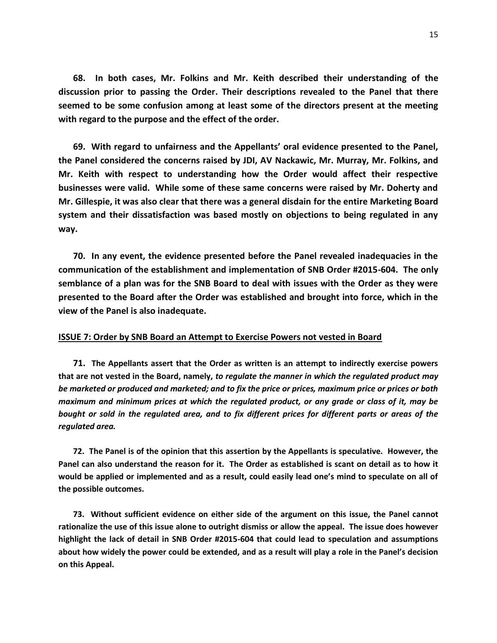**68. In both cases, Mr. Folkins and Mr. Keith described their understanding of the discussion prior to passing the Order. Their descriptions revealed to the Panel that there seemed to be some confusion among at least some of the directors present at the meeting with regard to the purpose and the effect of the order.**

**69. With regard to unfairness and the Appellants' oral evidence presented to the Panel, the Panel considered the concerns raised by JDI, AV Nackawic, Mr. Murray, Mr. Folkins, and Mr. Keith with respect to understanding how the Order would affect their respective businesses were valid. While some of these same concerns were raised by Mr. Doherty and Mr. Gillespie, it was also clear that there was a general disdain for the entire Marketing Board system and their dissatisfaction was based mostly on objections to being regulated in any way.**

**70. In any event, the evidence presented before the Panel revealed inadequacies in the communication of the establishment and implementation of SNB Order #2015-604. The only semblance of a plan was for the SNB Board to deal with issues with the Order as they were presented to the Board after the Order was established and brought into force, which in the view of the Panel is also inadequate.**

#### **ISSUE 7: Order by SNB Board an Attempt to Exercise Powers not vested in Board**

**71. The Appellants assert that the Order as written is an attempt to indirectly exercise powers that are not vested in the Board, namely,** *to regulate the manner in which the regulated product may be marketed or produced and marketed; and to fix the price or prices, maximum price or prices or both maximum and minimum prices at which the regulated product, or any grade or class of it, may be bought or sold in the regulated area, and to fix different prices for different parts or areas of the regulated area.*

**72. The Panel is of the opinion that this assertion by the Appellants is speculative. However, the Panel can also understand the reason for it. The Order as established is scant on detail as to how it would be applied or implemented and as a result, could easily lead one's mind to speculate on all of the possible outcomes.**

**73. Without sufficient evidence on either side of the argument on this issue, the Panel cannot rationalize the use of this issue alone to outright dismiss or allow the appeal. The issue does however highlight the lack of detail in SNB Order #2015-604 that could lead to speculation and assumptions about how widely the power could be extended, and as a result will play a role in the Panel's decision on this Appeal.**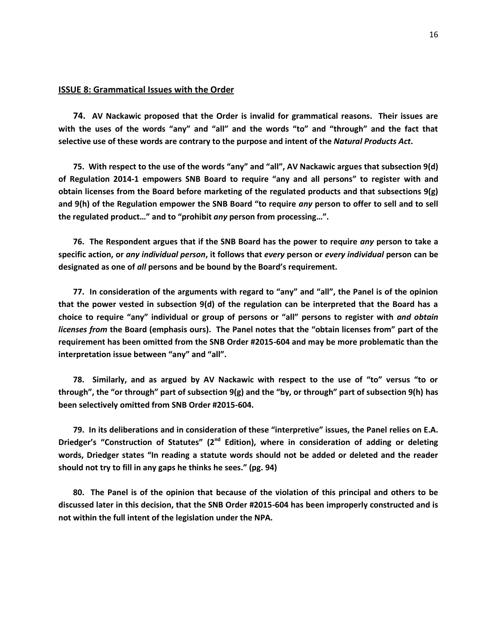### **ISSUE 8: Grammatical Issues with the Order**

**74. AV Nackawic proposed that the Order is invalid for grammatical reasons. Their issues are with the uses of the words "any" and "all" and the words "to" and "through" and the fact that selective use of these words are contrary to the purpose and intent of the** *Natural Products Act***.**

**75. With respect to the use of the words "any" and "all", AV Nackawic argues that subsection 9(d) of Regulation 2014-1 empowers SNB Board to require "any and all persons" to register with and obtain licenses from the Board before marketing of the regulated products and that subsections 9(g) and 9(h) of the Regulation empower the SNB Board "to require** *any* **person to offer to sell and to sell the regulated product…" and to "prohibit** *any* **person from processing…".**

**76. The Respondent argues that if the SNB Board has the power to require** *any* **person to take a specific action, or** *any individual person***, it follows that** *every* **person or** *every individual* **person can be designated as one of** *all* **persons and be bound by the Board's requirement.**

**77. In consideration of the arguments with regard to "any" and "all", the Panel is of the opinion that the power vested in subsection 9(d) of the regulation can be interpreted that the Board has a choice to require "any" individual or group of persons or "all" persons to register with** *and obtain licenses from* **the Board (emphasis ours). The Panel notes that the "obtain licenses from" part of the requirement has been omitted from the SNB Order #2015-604 and may be more problematic than the interpretation issue between "any" and "all".**

**78. Similarly, and as argued by AV Nackawic with respect to the use of "to" versus "to or through", the "or through" part of subsection 9(g) and the "by, or through" part of subsection 9(h) has been selectively omitted from SNB Order #2015-604.**

**79. In its deliberations and in consideration of these "interpretive" issues, the Panel relies on E.A. Driedger's "Construction of Statutes" (2nd Edition), where in consideration of adding or deleting words, Driedger states "In reading a statute words should not be added or deleted and the reader should not try to fill in any gaps he thinks he sees." (pg. 94)**

**80. The Panel is of the opinion that because of the violation of this principal and others to be discussed later in this decision, that the SNB Order #2015-604 has been improperly constructed and is not within the full intent of the legislation under the NPA.**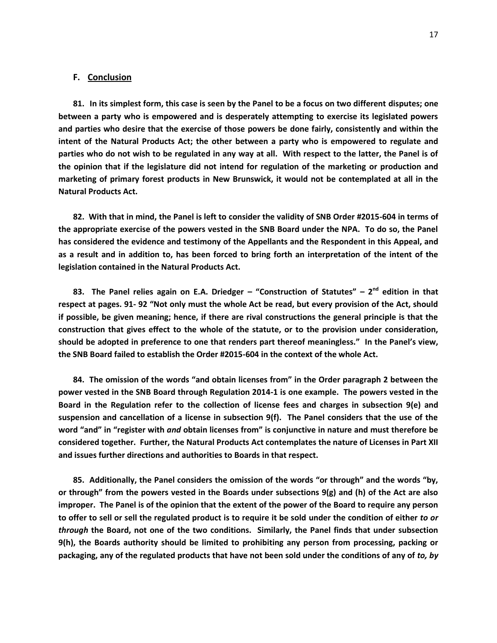### **F. Conclusion**

**81. In its simplest form, this case is seen by the Panel to be a focus on two different disputes; one between a party who is empowered and is desperately attempting to exercise its legislated powers and parties who desire that the exercise of those powers be done fairly, consistently and within the intent of the Natural Products Act; the other between a party who is empowered to regulate and parties who do not wish to be regulated in any way at all. With respect to the latter, the Panel is of the opinion that if the legislature did not intend for regulation of the marketing or production and marketing of primary forest products in New Brunswick, it would not be contemplated at all in the Natural Products Act.**

**82. With that in mind, the Panel is left to consider the validity of SNB Order #2015-604 in terms of the appropriate exercise of the powers vested in the SNB Board under the NPA. To do so, the Panel has considered the evidence and testimony of the Appellants and the Respondent in this Appeal, and as a result and in addition to, has been forced to bring forth an interpretation of the intent of the legislation contained in the Natural Products Act.**

**83. The Panel relies again on E.A. Driedger – "Construction of Statutes" – 2 nd edition in that respect at pages. 91- 92 "Not only must the whole Act be read, but every provision of the Act, should if possible, be given meaning; hence, if there are rival constructions the general principle is that the construction that gives effect to the whole of the statute, or to the provision under consideration, should be adopted in preference to one that renders part thereof meaningless." In the Panel's view, the SNB Board failed to establish the Order #2015-604 in the context of the whole Act.**

**84. The omission of the words "and obtain licenses from" in the Order paragraph 2 between the power vested in the SNB Board through Regulation 2014-1 is one example. The powers vested in the Board in the Regulation refer to the collection of license fees and charges in subsection 9(e) and suspension and cancellation of a license in subsection 9(f). The Panel considers that the use of the word "and" in "register with** *and* **obtain licenses from" is conjunctive in nature and must therefore be considered together. Further, the Natural Products Act contemplates the nature of Licenses in Part XII and issues further directions and authorities to Boards in that respect.**

**85. Additionally, the Panel considers the omission of the words "or through" and the words "by, or through" from the powers vested in the Boards under subsections 9(g) and (h) of the Act are also improper. The Panel is of the opinion that the extent of the power of the Board to require any person to offer to sell or sell the regulated product is to require it be sold under the condition of either** *to or through* **the Board, not one of the two conditions. Similarly, the Panel finds that under subsection 9(h), the Boards authority should be limited to prohibiting any person from processing, packing or packaging, any of the regulated products that have not been sold under the conditions of any of** *to, by*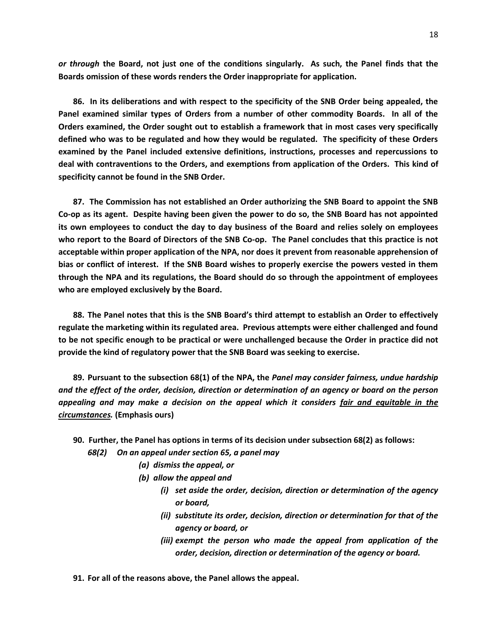*or through* **the Board, not just one of the conditions singularly. As such, the Panel finds that the Boards omission of these words renders the Order inappropriate for application.**

**86. In its deliberations and with respect to the specificity of the SNB Order being appealed, the Panel examined similar types of Orders from a number of other commodity Boards. In all of the Orders examined, the Order sought out to establish a framework that in most cases very specifically defined who was to be regulated and how they would be regulated. The specificity of these Orders examined by the Panel included extensive definitions, instructions, processes and repercussions to deal with contraventions to the Orders, and exemptions from application of the Orders. This kind of specificity cannot be found in the SNB Order.**

**87. The Commission has not established an Order authorizing the SNB Board to appoint the SNB Co-op as its agent. Despite having been given the power to do so, the SNB Board has not appointed its own employees to conduct the day to day business of the Board and relies solely on employees who report to the Board of Directors of the SNB Co-op. The Panel concludes that this practice is not acceptable within proper application of the NPA, nor does it prevent from reasonable apprehension of bias or conflict of interest. If the SNB Board wishes to properly exercise the powers vested in them through the NPA and its regulations, the Board should do so through the appointment of employees who are employed exclusively by the Board.**

**88. The Panel notes that this is the SNB Board's third attempt to establish an Order to effectively regulate the marketing within its regulated area. Previous attempts were either challenged and found to be not specific enough to be practical or were unchallenged because the Order in practice did not provide the kind of regulatory power that the SNB Board was seeking to exercise.**

**89. Pursuant to the subsection 68(1) of the NPA, the** *Panel may consider fairness, undue hardship and the effect of the order, decision, direction or determination of an agency or board on the person appealing and may make a decision on the appeal which it considers fair and equitable in the circumstances.* **(Emphasis ours)**

- **90. Further, the Panel has options in terms of its decision under subsection 68(2) as follows:**
	- *68(2) On an appeal under section 65, a panel may*
		- *(a) dismiss the appeal, or*
		- *(b) allow the appeal and*
			- *(i) set aside the order, decision, direction or determination of the agency or board,*
			- *(ii) substitute its order, decision, direction or determination for that of the agency or board, or*
			- *(iii) exempt the person who made the appeal from application of the order, decision, direction or determination of the agency or board.*
- **91. For all of the reasons above, the Panel allows the appeal.**